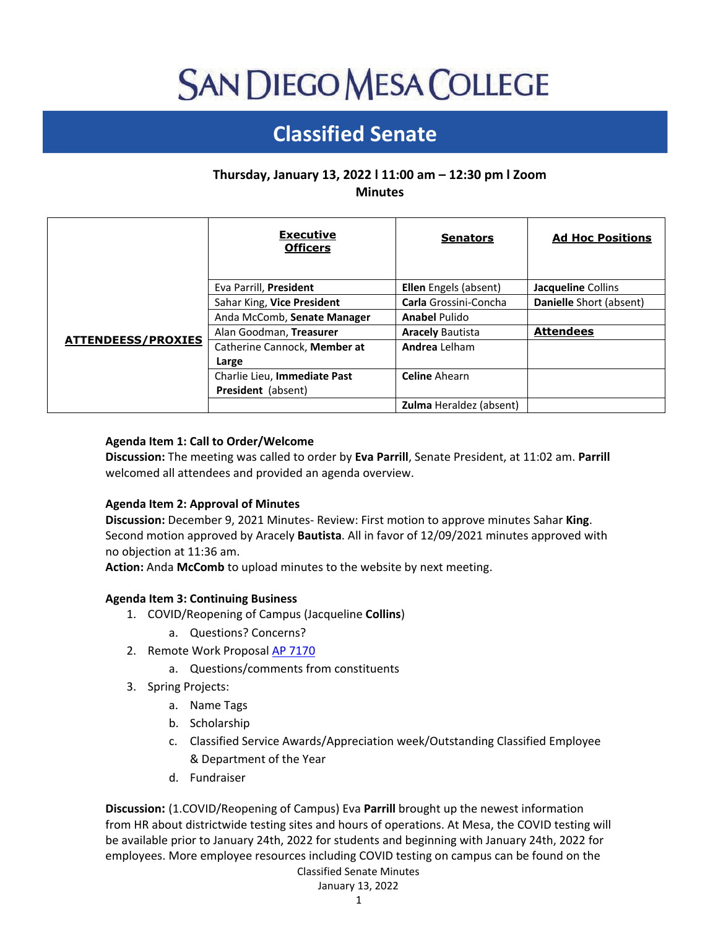# **SAN DIEGO MESA COLLEGE**

# **Classified Senate**

# **Thursday, January 13, 2022 l 11:00 am – 12:30 pm l Zoom Minutes**

|                           | <b>Executive</b><br><b>Officers</b>   | <b>Senators</b>                | <b>Ad Hoc Positions</b> |
|---------------------------|---------------------------------------|--------------------------------|-------------------------|
| <b>ATTENDEESS/PROXIES</b> | Eva Parrill, President                | Ellen Engels (absent)          | Jacqueline Collins      |
|                           | Sahar King, Vice President            | Carla Grossini-Concha          | Danielle Short (absent) |
|                           | Anda McComb, Senate Manager           | <b>Anabel Pulido</b>           |                         |
|                           | Alan Goodman, Treasurer               | <b>Aracely Bautista</b>        | <b>Attendees</b>        |
|                           | Catherine Cannock, Member at<br>Large | <b>Andrea</b> Lelham           |                         |
|                           | Charlie Lieu, Immediate Past          | <b>Celine</b> Ahearn           |                         |
|                           | President (absent)                    |                                |                         |
|                           |                                       | <b>Zulma</b> Heraldez (absent) |                         |

# **Agenda Item 1: Call to Order/Welcome**

**Discussion:** The meeting was called to order by **Eva Parrill**, Senate President, at 11:02 am. **Parrill** welcomed all attendees and provided an agenda overview.

#### **Agenda Item 2: Approval of Minutes**

**Discussion:** December 9, 2021 Minutes- Review: First motion to approve minutes Sahar **King**. Second motion approved by Aracely **Bautista**. All in favor of 12/09/2021 minutes approved with no objection at 11:36 am.

**Action:** Anda **McComb** to upload minutes to the website by next meeting.

#### **Agenda Item 3: Continuing Business**

- 1. COVID/Reopening of Campus (Jacqueline **Collins**)
	- a. Questions? Concerns?
- 2. Remote Work Proposal [AP 7170](https://go.boarddocs.com/ca/sdccd/Board.nsf/files/C9D4620614F6/$file/AP%207170%20Remote%20Work.pdf)
	- a. Questions/comments from constituents
- 3. Spring Projects:
	- a. Name Tags
	- b. Scholarship
	- c. Classified Service Awards/Appreciation week/Outstanding Classified Employee & Department of the Year
	- d. Fundraiser

**Discussion:** (1.COVID/Reopening of Campus) Eva **Parrill** brought up the newest information from HR about districtwide testing sites and hours of operations. At Mesa, the COVID testing will be available prior to January 24th, 2022 for students and beginning with January 24th, 2022 for employees. More employee resources including COVID testing on campus can be found on the

Classified Senate Minutes January 13, 2022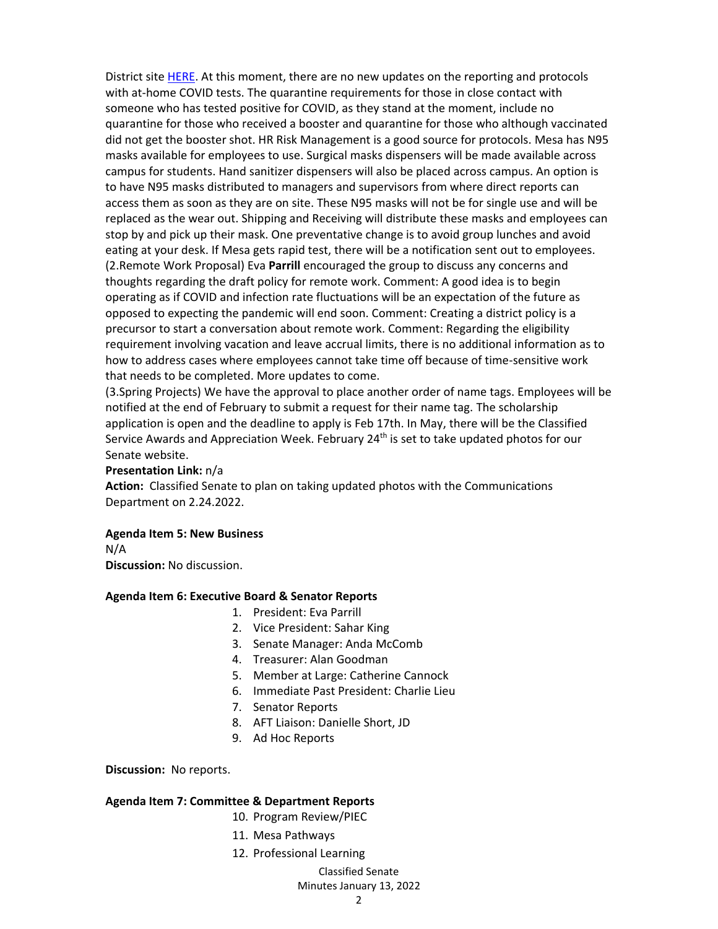District site [HERE.](https://www.sdccd.edu/about/departments-and-offices/human-resources/risk-management/covid-employees.aspx) At this moment, there are no new updates on the reporting and protocols with at-home COVID tests. The quarantine requirements for those in close contact with someone who has tested positive for COVID, as they stand at the moment, include no quarantine for those who received a booster and quarantine for those who although vaccinated did not get the booster shot. HR Risk Management is a good source for protocols. Mesa has N95 masks available for employees to use. Surgical masks dispensers will be made available across campus for students. Hand sanitizer dispensers will also be placed across campus. An option is to have N95 masks distributed to managers and supervisors from where direct reports can access them as soon as they are on site. These N95 masks will not be for single use and will be replaced as the wear out. Shipping and Receiving will distribute these masks and employees can stop by and pick up their mask. One preventative change is to avoid group lunches and avoid eating at your desk. If Mesa gets rapid test, there will be a notification sent out to employees. (2.Remote Work Proposal) Eva **Parrill** encouraged the group to discuss any concerns and thoughts regarding the draft policy for remote work. Comment: A good idea is to begin operating as if COVID and infection rate fluctuations will be an expectation of the future as opposed to expecting the pandemic will end soon. Comment: Creating a district policy is a precursor to start a conversation about remote work. Comment: Regarding the eligibility requirement involving vacation and leave accrual limits, there is no additional information as to how to address cases where employees cannot take time off because of time-sensitive work that needs to be completed. More updates to come.

(3.Spring Projects) We have the approval to place another order of name tags. Employees will be notified at the end of February to submit a request for their name tag. The scholarship application is open and the deadline to apply is Feb 17th. In May, there will be the Classified Service Awards and Appreciation Week. February 24<sup>th</sup> is set to take updated photos for our Senate website.

#### **Presentation Link:** n/a

**Action:** Classified Senate to plan on taking updated photos with the Communications Department on 2.24.2022.

#### **Agenda Item 5: New Business**

N/A

**Discussion:** No discussion.

#### **Agenda Item 6: Executive Board & Senator Reports**

- 1. President: Eva Parrill
- 2. Vice President: Sahar King
- 3. Senate Manager: Anda McComb
- 4. Treasurer: Alan Goodman
- 5. Member at Large: Catherine Cannock
- 6. Immediate Past President: Charlie Lieu
- 7. Senator Reports
- 8. AFT Liaison: Danielle Short, JD
- 9. Ad Hoc Reports

**Discussion:** No reports.

#### **Agenda Item 7: Committee & Department Reports**

- 10. Program Review/PIEC
- 11. Mesa Pathways
- 12. Professional Learning

Classified Senate Minutes January 13, 2022